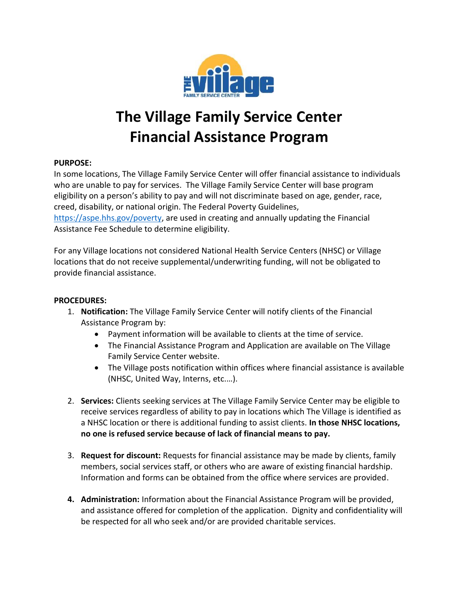

## **The Village Family Service Center Financial Assistance Program**

## **PURPOSE:**

In some locations, The Village Family Service Center will offer financial assistance to individuals who are unable to pay for services. The Village Family Service Center will base program eligibility on a person's ability to pay and will not discriminate based on age, gender, race, creed, disability, or national origin. The Federal Poverty Guidelines, [https://aspe.hhs.gov/poverty,](https://aspe.hhs.gov/poverty) are used in creating and annually updating the Financial

Assistance Fee Schedule to determine eligibility.

For any Village locations not considered National Health Service Centers (NHSC) or Village locations that do not receive supplemental/underwriting funding, will not be obligated to provide financial assistance.

## **PROCEDURES:**

- 1. **Notification:** The Village Family Service Center will notify clients of the Financial Assistance Program by:
	- Payment information will be available to clients at the time of service.
	- The Financial Assistance Program and Application are available on The Village Family Service Center website.
	- The Village posts notification within offices where financial assistance is available (NHSC, United Way, Interns, etc.…).
- 2. **Services:** Clients seeking services at The Village Family Service Center may be eligible to receive services regardless of ability to pay in locations which The Village is identified as a NHSC location or there is additional funding to assist clients. **In those NHSC locations, no one is refused service because of lack of financial means to pay.**
- 3. **Request for discount:** Requests for financial assistance may be made by clients, family members, social services staff, or others who are aware of existing financial hardship. Information and forms can be obtained from the office where services are provided.
- **4. Administration:** Information about the Financial Assistance Program will be provided, and assistance offered for completion of the application. Dignity and confidentiality will be respected for all who seek and/or are provided charitable services.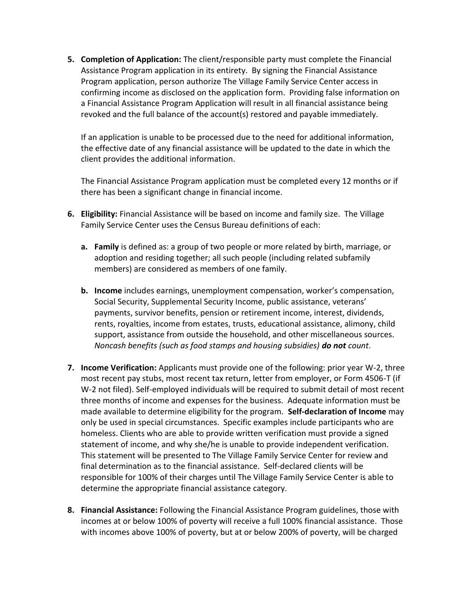**5. Completion of Application:** The client/responsible party must complete the Financial Assistance Program application in its entirety. By signing the Financial Assistance Program application, person authorize The Village Family Service Center access in confirming income as disclosed on the application form. Providing false information on a Financial Assistance Program Application will result in all financial assistance being revoked and the full balance of the account(s) restored and payable immediately.

If an application is unable to be processed due to the need for additional information, the effective date of any financial assistance will be updated to the date in which the client provides the additional information.

The Financial Assistance Program application must be completed every 12 months or if there has been a significant change in financial income.

- **6. Eligibility:** Financial Assistance will be based on income and family size. The Village Family Service Center uses the Census Bureau definitions of each:
	- **a. Family** is defined as: a group of two people or more related by birth, marriage, or adoption and residing together; all such people (including related subfamily members) are considered as members of one family.
	- **b. Income** includes earnings, unemployment compensation, worker's compensation, Social Security, Supplemental Security Income, public assistance, veterans' payments, survivor benefits, pension or retirement income, interest, dividends, rents, royalties, income from estates, trusts, educational assistance, alimony, child support, assistance from outside the household, and other miscellaneous sources. *Noncash benefits (such as food stamps and housing subsidies) do not count*.
- **7. Income Verification:** Applicants must provide one of the following: prior year W-2, three most recent pay stubs, most recent tax return, letter from employer, or Form 4506-T (if W-2 not filed). Self-employed individuals will be required to submit detail of most recent three months of income and expenses for the business. Adequate information must be made available to determine eligibility for the program. **Self-declaration of Income** may only be used in special circumstances. Specific examples include participants who are homeless. Clients who are able to provide written verification must provide a signed statement of income, and why she/he is unable to provide independent verification. This statement will be presented to The Village Family Service Center for review and final determination as to the financial assistance. Self-declared clients will be responsible for 100% of their charges until The Village Family Service Center is able to determine the appropriate financial assistance category.
- **8. Financial Assistance:** Following the Financial Assistance Program guidelines, those with incomes at or below 100% of poverty will receive a full 100% financial assistance. Those with incomes above 100% of poverty, but at or below 200% of poverty, will be charged